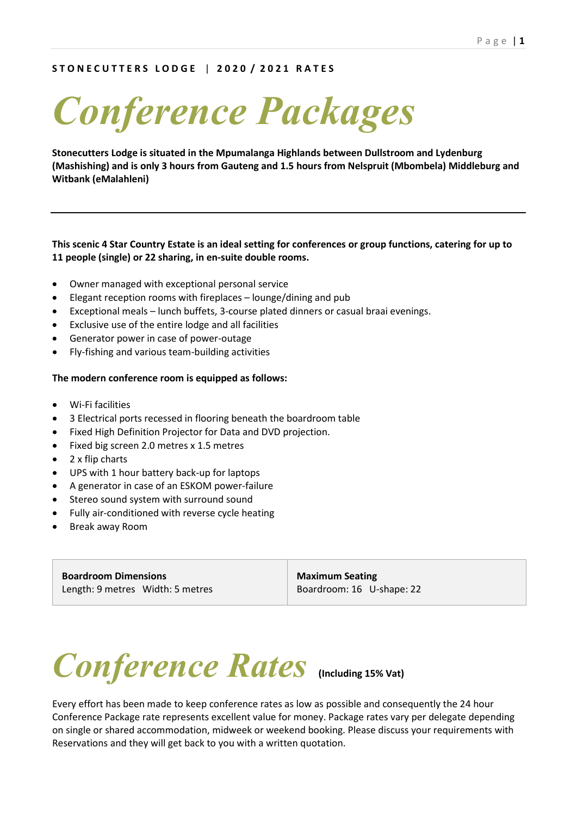### **S T O N E C U T T E R S L O D G E** | **2 0 2 0 / 2 0 2 1 R A T E S**

*Conference Packages*

**Stonecutters Lodge is situated in the Mpumalanga Highlands between Dullstroom and Lydenburg (Mashishing) and is only 3 hours from Gauteng and 1.5 hours from Nelspruit (Mbombela) Middleburg and Witbank (eMalahleni)**

#### **This scenic 4 Star Country Estate is an ideal setting for conferences or group functions, catering for up to 11 people (single) or 22 sharing, in en-suite double rooms.**

- Owner managed with exceptional personal service
- Elegant reception rooms with fireplaces lounge/dining and pub
- Exceptional meals lunch buffets, 3-course plated dinners or casual braai evenings.
- Exclusive use of the entire lodge and all facilities
- Generator power in case of power-outage
- Fly-fishing and various team-building activities

#### **The modern conference room is equipped as follows:**

- Wi-Fi facilities
- 3 Electrical ports recessed in flooring beneath the boardroom table
- Fixed High Definition Projector for Data and DVD projection.
- Fixed big screen 2.0 metres x 1.5 metres
- 2 x flip charts
- UPS with 1 hour battery back-up for laptops
- A generator in case of an ESKOM power-failure
- Stereo sound system with surround sound
- Fully air-conditioned with reverse cycle heating
- Break away Room

**Boardroom Dimensions** Length: 9 metres Width: 5 metres

**Maximum Seating** Boardroom: 16 U-shape: 22

# *Conference Rates* **(Including 15% Vat)**

Every effort has been made to keep conference rates as low as possible and consequently the 24 hour Conference Package rate represents excellent value for money. Package rates vary per delegate depending on single or shared accommodation, midweek or weekend booking. Please discuss your requirements with Reservations and they will get back to you with a written quotation.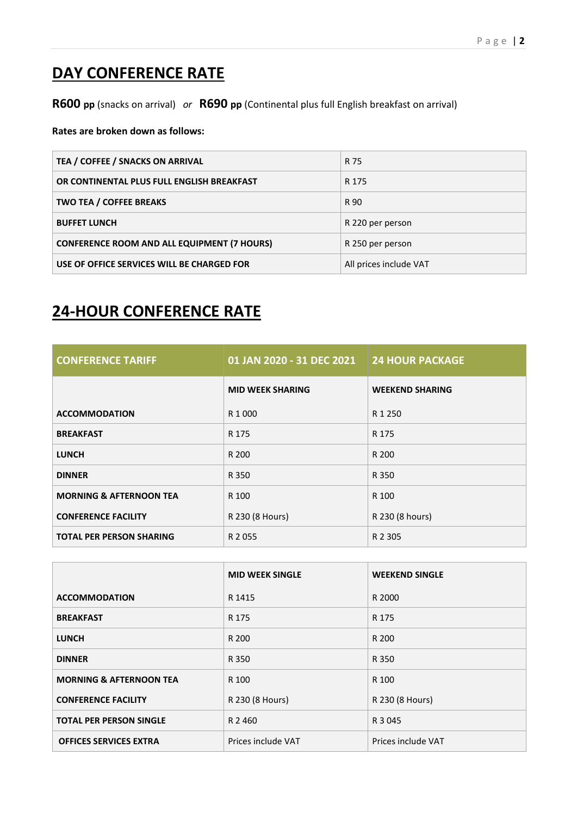## **DAY CONFERENCE RATE**

**R600 pp** (snacks on arrival)*or* **R690 pp** (Continental plus full English breakfast on arrival)

**Rates are broken down as follows:** 

| TEA / COFFEE / SNACKS ON ARRIVAL                   | R 75                   |
|----------------------------------------------------|------------------------|
| OR CONTINENTAL PLUS FULL ENGLISH BREAKFAST         | R 175                  |
| TWO TEA / COFFEE BREAKS                            | R 90                   |
| <b>BUFFET LUNCH</b>                                | R 220 per person       |
| <b>CONFERENCE ROOM AND ALL EQUIPMENT (7 HOURS)</b> | R 250 per person       |
| USE OF OFFICE SERVICES WILL BE CHARGED FOR         | All prices include VAT |

## **24-HOUR CONFERENCE RATE**

| <b>CONFERENCE TARIFF</b>           | 01 JAN 2020 - 31 DEC 2021 | <b>24 HOUR PACKAGE</b> |
|------------------------------------|---------------------------|------------------------|
|                                    | <b>MID WEEK SHARING</b>   | <b>WEEKEND SHARING</b> |
| <b>ACCOMMODATION</b>               | R 1 000                   | R 1 250                |
| <b>BREAKFAST</b>                   | R 175                     | R 175                  |
| <b>LUNCH</b>                       | R 200                     | R 200                  |
| <b>DINNER</b>                      | R 350                     | R 350                  |
| <b>MORNING &amp; AFTERNOON TEA</b> | R 100                     | R 100                  |
| <b>CONFERENCE FACILITY</b>         | R 230 (8 Hours)           | R 230 (8 hours)        |
| <b>TOTAL PER PERSON SHARING</b>    | R 2055                    | R 2 3 0 5              |

|                                    | <b>MID WEEK SINGLE</b> | <b>WEEKEND SINGLE</b> |
|------------------------------------|------------------------|-----------------------|
| <b>ACCOMMODATION</b>               | R 1415                 | R 2000                |
| <b>BREAKFAST</b>                   | R 175                  | R 175                 |
| <b>LUNCH</b>                       | R 200                  | R 200                 |
| <b>DINNER</b>                      | R 350                  | R 350                 |
| <b>MORNING &amp; AFTERNOON TEA</b> | R 100                  | R 100                 |
| <b>CONFERENCE FACILITY</b>         | R 230 (8 Hours)        | R 230 (8 Hours)       |
| <b>TOTAL PER PERSON SINGLE</b>     | R 2 460                | R 3 045               |
| <b>OFFICES SERVICES EXTRA</b>      | Prices include VAT     | Prices include VAT    |